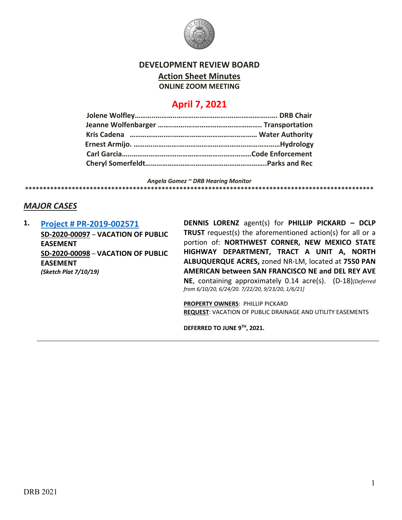

## **DEVELOPMENT REVIEW BOARD**

**Action Sheet Minutes**

**ONLINE ZOOM MEETING**

# **April 7, 2021**

*Angela Gomez ~ DRB Hearing Monitor*

**\*\*\*\*\*\*\*\*\*\*\*\*\*\*\*\*\*\*\*\*\*\*\*\*\*\*\*\*\*\*\*\*\*\*\*\*\*\*\*\*\*\*\*\*\*\*\*\*\*\*\*\*\*\*\*\*\*\*\*\*\*\*\*\*\*\*\*\*\*\*\*\*\*\*\*\*\*\*\*\*\*\*\*\*\*\*\*\*\*\*\*\*\*\*\*\*\***

## *MAJOR CASES*

**1. [Project # PR-2019-002571](http://data.cabq.gov/government/planning/DRB/PR-2019-002571/DRB%20Submittals/) SD-2020-00097** – **VACATION OF PUBLIC EASEMENT SD-2020-00098** – **VACATION OF PUBLIC EASEMENT** *(Sketch Plat 7/10/19)*

**DENNIS LORENZ** agent(s) for **PHILLIP PICKARD – DCLP TRUST** request(s) the aforementioned action(s) for all or a portion of: **NORTHWEST CORNER, NEW MEXICO STATE HIGHWAY DEPARTMENT, TRACT A UNIT A, NORTH ALBUQUERQUE ACRES,** zoned NR-LM, located at **7550 PAN AMERICAN between SAN FRANCISCO NE and DEL REY AVE NE**, containing approximately 0.14 acre(s). (D-18)*[Deferred from 6/10/20, 6/24/20. 7/22/20, 9/23/20, 1/6/21]*

**PROPERTY OWNERS**: PHILLIP PICKARD **REQUEST**: VACATION OF PUBLIC DRAINAGE AND UTILITY EASEMENTS

**DEFERRED TO JUNE 9TH, 2021.**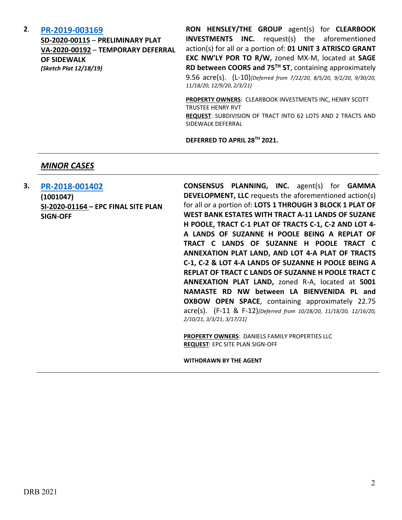#### **2**. **[PR-2019-003169](http://data.cabq.gov/government/planning/DRB/PR-2019-003169/DRB%20Submittals/)**

**SD-2020-00115** – **PRELIMINARY PLAT VA-2020-00192** – **TEMPORARY DEFERRAL OF SIDEWALK** *(Sketch Plat 12/18/19)*

**RON HENSLEY/THE GROUP** agent(s) for **CLEARBOOK INVESTMENTS INC.** request(s) the aforementioned action(s) for all or a portion of: **01 UNIT 3 ATRISCO GRANT EXC NW'LY POR TO R/W,** zoned MX-M, located at **SAGE RD between COORS and 75TH ST**, containing approximately 9.56 acre(s). (L-10)*[Deferred from 7/22/20, 8/5/20, 9/2/20, 9/30/20, 11/18/20, 12/9/20, 2/3/21]*

**PROPERTY OWNERS**: CLEARBOOK INVESTMENTS INC, HENRY SCOTT TRUSTEE HENRY RVT **REQUEST**: SUBDIVISION OF TRACT INTO 62 LOTS AND 2 TRACTS AND SIDEWALK DEFERRAL

**DEFERRED TO APRIL 28TH 2021.**

#### *MINOR CASES*

**3. [PR-2018-001402](http://data.cabq.gov/government/planning/DRB/PR-2018-001402/DRB%20Submittals/) (1001047) SI-2020-01164 – EPC FINAL SITE PLAN SIGN-OFF**

**CONSENSUS PLANNING, INC.** agent(s) for **GAMMA DEVELOPMENT, LLC** requests the aforementioned action(s) for all or a portion of: **LOTS 1 THROUGH 3 BLOCK 1 PLAT OF WEST BANK ESTATES WITH TRACT A-11 LANDS OF SUZANE H POOLE, TRACT C-1 PLAT OF TRACTS C-1, C-2 AND LOT 4- A LANDS OF SUZANNE H POOLE BEING A REPLAT OF TRACT C LANDS OF SUZANNE H POOLE TRACT C ANNEXATION PLAT LAND, AND LOT 4-A PLAT OF TRACTS C-1, C-2 & LOT 4-A LANDS OF SUZANNE H POOLE BEING A REPLAT OF TRACT C LANDS OF SUZANNE H POOLE TRACT C ANNEXATION PLAT LAND,** zoned R-A, located at **5001 NAMASTE RD NW between LA BIENVENIDA PL and OXBOW OPEN SPACE**, containing approximately 22.75 acre(s). (F-11 & F-12)*[Deferred from 10/28/20, 11/18/20, 12/16/20, 2/10/21, 3/3/21, 3/17/21]*

**PROPERTY OWNERS**: DANIELS FAMILY PROPERTIES LLC **REQUEST**: EPC SITE PLAN SIGN-OFF

**WITHDRAWN BY THE AGENT**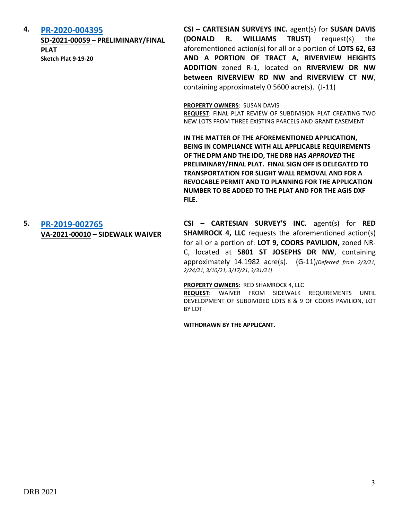| 4. | PR-2020-004395<br>SD-2021-00059 - PRELIMINARY/FINAL<br><b>PLAT</b><br>Sketch Plat 9-19-20 | CSI - CARTESIAN SURVEYS INC. agent(s) for SUSAN DAVIS<br>R. WILLIAMS TRUST)<br>(DONALD<br>request(s)<br>the<br>aforementioned action(s) for all or a portion of LOTS 62, 63<br>AND A PORTION OF TRACT A, RIVERVIEW HEIGHTS<br>ADDITION zoned R-1, located on RIVERVIEW DR NW<br>between RIVERVIEW RD NW and RIVERVIEW CT NW,<br>containing approximately 0.5600 acre(s). (J-11)                           |
|----|-------------------------------------------------------------------------------------------|-----------------------------------------------------------------------------------------------------------------------------------------------------------------------------------------------------------------------------------------------------------------------------------------------------------------------------------------------------------------------------------------------------------|
|    |                                                                                           | <b>PROPERTY OWNERS: SUSAN DAVIS</b><br>REQUEST: FINAL PLAT REVIEW OF SUBDIVISION PLAT CREATING TWO<br>NEW LOTS FROM THREE EXISTING PARCELS AND GRANT EASEMENT                                                                                                                                                                                                                                             |
|    |                                                                                           | IN THE MATTER OF THE AFOREMENTIONED APPLICATION,<br>BEING IN COMPLIANCE WITH ALL APPLICABLE REQUIREMENTS<br>OF THE DPM AND THE IDO, THE DRB HAS APPROVED THE<br>PRELIMINARY/FINAL PLAT. FINAL SIGN OFF IS DELEGATED TO<br><b>TRANSPORTATION FOR SLIGHT WALL REMOVAL AND FOR A</b><br>REVOCABLE PERMIT AND TO PLANNING FOR THE APPLICATION<br>NUMBER TO BE ADDED TO THE PLAT AND FOR THE AGIS DXF<br>FILE. |
| 5. | PR-2019-002765<br>VA-2021-00010 - SIDEWALK WAIVER                                         | CSI - CARTESIAN SURVEY'S INC. agent(s) for RED<br><b>SHAMROCK 4, LLC</b> requests the aforementioned action(s)<br>for all or a portion of: LOT 9, COORS PAVILION, zoned NR-<br>C, located at 5801 ST JOSEPHS DR NW, containing<br>approximately 14.1982 acre(s). (G-11)[Deferred from 2/3/21,<br>2/24/21, 3/10/21, 3/17/21, 3/31/21]                                                                      |
|    |                                                                                           | PROPERTY OWNERS: RED SHAMROCK 4, LLC<br>REQUEST: WAIVER FROM SIDEWALK<br><b>REQUIREMENTS</b><br>UNTIL<br>DEVELOPMENT OF SUBDIVIDED LOTS 8 & 9 OF COORS PAVILION, LOT<br>BY LOT                                                                                                                                                                                                                            |
|    |                                                                                           | WITHDRAWN BY THE APPLICANT.                                                                                                                                                                                                                                                                                                                                                                               |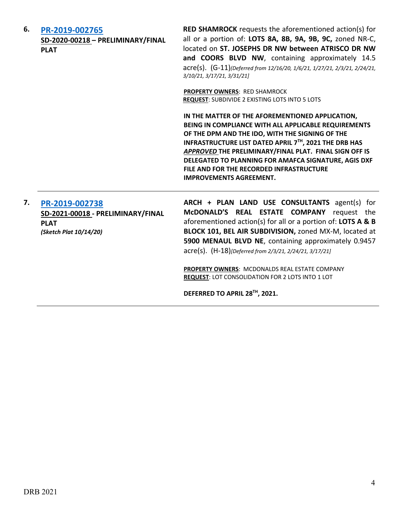| 6. | PR-2019-002765<br>SD-2020-00218 - PRELIMINARY/FINAL<br><b>PLAT</b>                           | <b>RED SHAMROCK</b> requests the aforementioned action(s) for<br>all or a portion of: LOTS 8A, 8B, 9A, 9B, 9C, zoned NR-C,<br>located on ST. JOSEPHS DR NW between ATRISCO DR NW<br>and COORS BLVD NW, containing approximately 14.5<br>acre(s). (G-11)(Deferred from 12/16/20, 1/6/21, 1/27/21, 2/3/21, 2/24/21,<br>3/10/21, 3/17/21, 3/31/21]                                                                      |
|----|----------------------------------------------------------------------------------------------|----------------------------------------------------------------------------------------------------------------------------------------------------------------------------------------------------------------------------------------------------------------------------------------------------------------------------------------------------------------------------------------------------------------------|
|    |                                                                                              | PROPERTY OWNERS: RED SHAMROCK<br>REQUEST: SUBDIVIDE 2 EXISTING LOTS INTO 5 LOTS                                                                                                                                                                                                                                                                                                                                      |
|    |                                                                                              | IN THE MATTER OF THE AFOREMENTIONED APPLICATION,<br>BEING IN COMPLIANCE WITH ALL APPLICABLE REQUIREMENTS<br>OF THE DPM AND THE IDO, WITH THE SIGNING OF THE<br>INFRASTRUCTURE LIST DATED APRIL 7TH, 2021 THE DRB HAS<br>APPROVED THE PRELIMINARY/FINAL PLAT. FINAL SIGN OFF IS<br>DELEGATED TO PLANNING FOR AMAFCA SIGNATURE, AGIS DXF<br>FILE AND FOR THE RECORDED INFRASTRUCTURE<br><b>IMPROVEMENTS AGREEMENT.</b> |
| 7. | PR-2019-002738<br>SD-2021-00018 - PRELIMINARY/FINAL<br><b>PLAT</b><br>(Sketch Plat 10/14/20) | ARCH + PLAN LAND USE CONSULTANTS agent(s) for<br>McDONALD'S REAL ESTATE COMPANY request the<br>aforementioned action(s) for all or a portion of: LOTS A & B<br>BLOCK 101, BEL AIR SUBDIVISION, zoned MX-M, located at<br>5900 MENAUL BLVD NE, containing approximately 0.9457<br>acre(s). (H-18)[Deferred from 2/3/21, 2/24/21, 3/17/21]                                                                             |
|    |                                                                                              | PROPERTY OWNERS: MCDONALDS REAL ESTATE COMPANY<br>REQUEST: LOT CONSOLIDATION FOR 2 LOTS INTO 1 LOT                                                                                                                                                                                                                                                                                                                   |
|    |                                                                                              | DEFERRED TO APRIL 28TH, 2021.                                                                                                                                                                                                                                                                                                                                                                                        |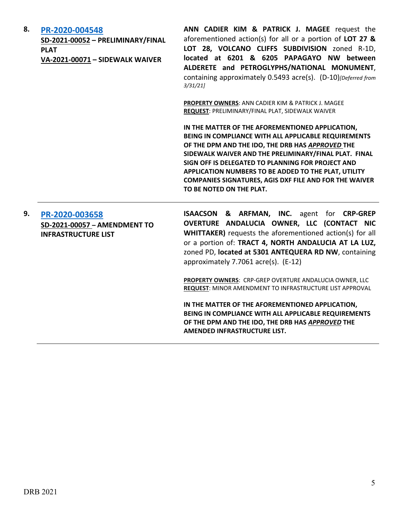| 8. | PR-2020-004548<br>SD-2021-00052 - PRELIMINARY/FINAL<br><b>PLAT</b><br>VA-2021-00071 - SIDEWALK WAIVER | ANN CADIER KIM & PATRICK J. MAGEE request the<br>aforementioned action(s) for all or a portion of LOT 27 &<br>LOT 28, VOLCANO CLIFFS SUBDIVISION zoned R-1D,<br>located at 6201 & 6205 PAPAGAYO NW between<br>ALDERETE and PETROGLYPHS/NATIONAL MONUMENT,<br>containing approximately 0.5493 acre(s). (D-10)[Deferred from<br>3/31/21                                                                                           |
|----|-------------------------------------------------------------------------------------------------------|---------------------------------------------------------------------------------------------------------------------------------------------------------------------------------------------------------------------------------------------------------------------------------------------------------------------------------------------------------------------------------------------------------------------------------|
|    |                                                                                                       | PROPERTY OWNERS: ANN CADIER KIM & PATRICK J. MAGEE<br>REQUEST: PRELIMINARY/FINAL PLAT, SIDEWALK WAIVER                                                                                                                                                                                                                                                                                                                          |
|    |                                                                                                       | IN THE MATTER OF THE AFOREMENTIONED APPLICATION,<br>BEING IN COMPLIANCE WITH ALL APPLICABLE REQUIREMENTS<br>OF THE DPM AND THE IDO, THE DRB HAS APPROVED THE<br>SIDEWALK WAIVER AND THE PRELIMINARY/FINAL PLAT. FINAL<br>SIGN OFF IS DELEGATED TO PLANNING FOR PROJECT AND<br>APPLICATION NUMBERS TO BE ADDED TO THE PLAT, UTILITY<br><b>COMPANIES SIGNATURES, AGIS DXF FILE AND FOR THE WAIVER</b><br>TO BE NOTED ON THE PLAT. |
| 9. | PR-2020-003658<br>SD-2021-00057 - AMENDMENT TO<br><b>INFRASTRUCTURE LIST</b>                          | <b>ISAACSON &amp; ARFMAN, INC.</b> agent for CRP-GREP<br>OVERTURE ANDALUCIA OWNER, LLC (CONTACT NIC<br><b>WHITTAKER)</b> requests the aforementioned action(s) for all<br>or a portion of: TRACT 4, NORTH ANDALUCIA AT LA LUZ,<br>zoned PD, located at 5301 ANTEQUERA RD NW, containing<br>approximately 7.7061 acre(s). (E-12)                                                                                                 |
|    |                                                                                                       | PROPERTY OWNERS: CRP-GREP OVERTURE ANDALUCIA OWNER, LLC<br>REQUEST: MINOR AMENDMENT TO INFRASTRUCTURE LIST APPROVAL                                                                                                                                                                                                                                                                                                             |
|    |                                                                                                       | IN THE MATTER OF THE AFOREMENTIONED APPLICATION,<br>BEING IN COMPLIANCE WITH ALL APPLICABLE REQUIREMENTS<br>OF THE DPM AND THE IDO, THE DRB HAS APPROVED THE<br>AMENDED INFRASTRUCTURE LIST.                                                                                                                                                                                                                                    |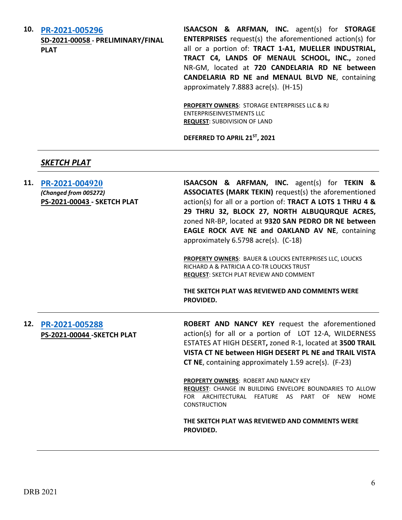**10. [PR-2021-005296](http://data.cabq.gov/government/planning/DRB/PR-2021-005296/DRB%20Submittals/PR-2021-005296_April_7_2021/Application/)**

**SD-2021-00058 - PRELIMINARY/FINAL PLAT**

**ISAACSON & ARFMAN, INC.** agent(s) for **STORAGE ENTERPRISES** request(s) the aforementioned action(s) for all or a portion of: **TRACT 1-A1, MUELLER INDUSTRIAL, TRACT C4, LANDS OF MENAUL SCHOOL, INC.,** zoned NR-GM, located at **720 CANDELARIA RD NE between CANDELARIA RD NE and MENAUL BLVD NE**, containing approximately 7.8883 acre(s). (H-15)

**PROPERTY OWNERS**: STORAGE ENTERPRISES LLC & RJ ENTERPRISEINVESTMENTS LLC **REQUEST**: SUBDIVISION OF LAND

**DEFERRED TO APRIL 21ST, 2021**

## *SKETCH PLAT*

| 11. | PR-2021-004920<br>(Changed from 005272)<br>PS-2021-00043 - SKETCH PLAT | <b>ISAACSON &amp; ARFMAN, INC.</b> agent(s) for TEKIN &<br>ASSOCIATES (MARK TEKIN) request(s) the aforementioned<br>action(s) for all or a portion of: TRACT A LOTS 1 THRU 4 &<br>29 THRU 32, BLOCK 27, NORTH ALBUQURQUE ACRES,<br>zoned NR-BP, located at 9320 SAN PEDRO DR NE between<br>EAGLE ROCK AVE NE and OAKLAND AV NE, containing<br>approximately 6.5798 acre(s). (C-18) |
|-----|------------------------------------------------------------------------|------------------------------------------------------------------------------------------------------------------------------------------------------------------------------------------------------------------------------------------------------------------------------------------------------------------------------------------------------------------------------------|
|     |                                                                        | PROPERTY OWNERS: BAUER & LOUCKS ENTERPRISES LLC, LOUCKS<br>RICHARD A & PATRICIA A CO-TR LOUCKS TRUST<br><b>REQUEST: SKETCH PLAT REVIEW AND COMMENT</b>                                                                                                                                                                                                                             |
|     |                                                                        | THE SKETCH PLAT WAS REVIEWED AND COMMENTS WERE<br>PROVIDED.                                                                                                                                                                                                                                                                                                                        |
| 12. | PR-2021-005288<br>PS-2021-00044 - SKETCH PLAT                          | ROBERT AND NANCY KEY request the aforementioned<br>action(s) for all or a portion of LOT 12-A, WILDERNESS                                                                                                                                                                                                                                                                          |
|     |                                                                        | ESTATES AT HIGH DESERT, zoned R-1, located at 3500 TRAIL<br>VISTA CT NE between HIGH DESERT PL NE and TRAIL VISTA<br><b>CT NE</b> , containing approximately 1.59 acre(s). (F-23)                                                                                                                                                                                                  |
|     |                                                                        | PROPERTY OWNERS: ROBERT AND NANCY KEY<br>REQUEST: CHANGE IN BUILDING ENVELOPE BOUNDARIES TO ALLOW<br>FOR ARCHITECTURAL FEATURE AS PART OF<br>HOME<br>NEW<br><b>CONSTRUCTION</b>                                                                                                                                                                                                    |